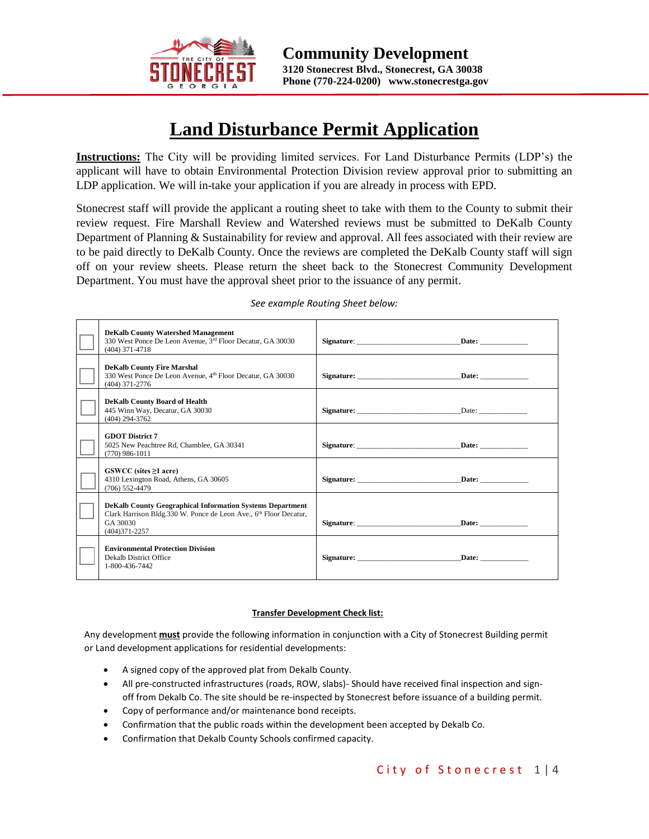

 $\overline{a}$ 

### **Land Disturbance Permit Application**

**Instructions:** The City will be providing limited services. For Land Disturbance Permits (LDP's) the applicant will have to obtain Environmental Protection Division review approval prior to submitting an LDP application. We will in-take your application if you are already in process with EPD.

Stonecrest staff will provide the applicant a routing sheet to take with them to the County to submit their review request. Fire Marshall Review and Watershed reviews must be submitted to DeKalb County Department of Planning & Sustainability for review and approval. All fees associated with their review are to be paid directly to DeKalb County. Once the reviews are completed the DeKalb County staff will sign off on your review sheets. Please return the sheet back to the Stonecrest Community Development Department. You must have the approval sheet prior to the issuance of any permit.

| <b>DeKalb County Watershed Management</b><br>330 West Ponce De Leon Avenue, 3rd Floor Decatur, GA 30030<br>$(404)$ 371-4718                                            | Signature: Date: Date:        |  |
|------------------------------------------------------------------------------------------------------------------------------------------------------------------------|-------------------------------|--|
| <b>DeKalb County Fire Marshal</b><br>330 West Ponce De Leon Avenue, 4 <sup>th</sup> Floor Decatur, GA 30030<br>$(404)$ 371-2776                                        | Signature: <u>Date:</u> Date: |  |
| <b>DeKalb County Board of Health</b><br>445 Winn Way, Decatur, GA 30030<br>$(404)$ 294-3762                                                                            | Signature: Date:              |  |
| <b>GDOT District 7</b><br>5025 New Peachtree Rd, Chamblee, GA 30341<br>$(770)$ 986-1011                                                                                | Signature: Date: Date:        |  |
| $GSWCC$ (sites $\geq 1$ acre)<br>4310 Lexington Road, Athens, GA 30605<br>$(706)$ 552-4479                                                                             | Signature: Date: Date:        |  |
| <b>DeKalb County Geographical Information Systems Department</b><br>Clark Harrison Bldg.330 W. Ponce de Leon Ave., 6th Floor Decatur,<br>GA 30030<br>$(404)371 - 2257$ | Signature: Date:              |  |
| <b>Environmental Protection Division</b><br>Dekalb District Office<br>1-800-436-7442                                                                                   | Signature: Date: Date:        |  |

#### *See example Routing Sheet below:*

#### **Transfer Development Check list:**

Any development **must** provide the following information in conjunction with a City of Stonecrest Building permit or Land development applications for residential developments:

- A signed copy of the approved plat from Dekalb County.
- All pre-constructed infrastructures (roads, ROW, slabs)- Should have received final inspection and signoff from Dekalb Co. The site should be re-inspected by Stonecrest before issuance of a building permit.
- Copy of performance and/or maintenance bond receipts.
- Confirmation that the public roads within the development been accepted by Dekalb Co.
- Confirmation that Dekalb County Schools confirmed capacity.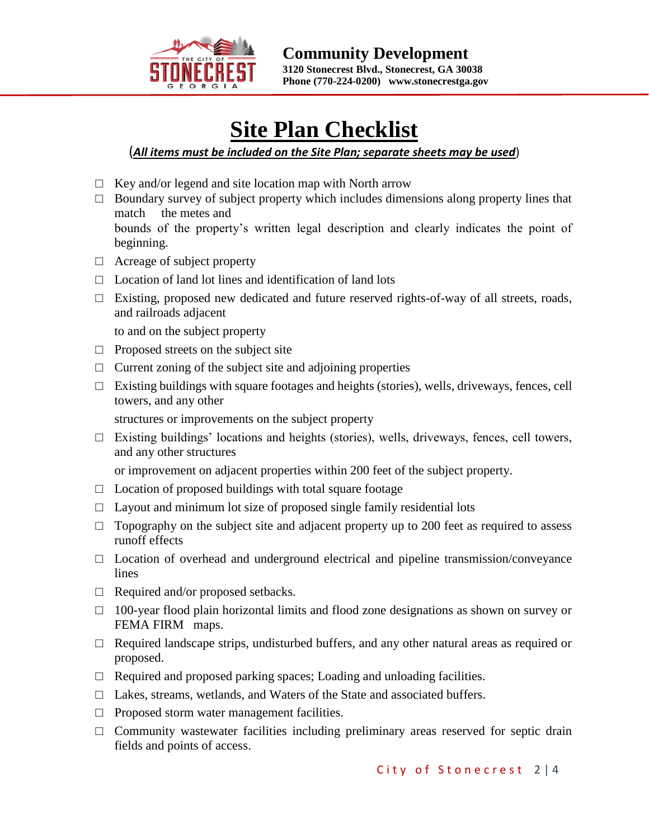

֦

# **Site Plan Checklist**

### (*All items must be included on the Site Plan; separate sheets may be used*)

- $\Box$  Key and/or legend and site location map with North arrow
- $\Box$  Boundary survey of subject property which includes dimensions along property lines that match the metes and bounds of the property's written legal description and clearly indicates the point of beginning.
- $\Box$  Acreage of subject property
- $\Box$  Location of land lot lines and identification of land lots
- $\Box$  Existing, proposed new dedicated and future reserved rights-of-way of all streets, roads, and railroads adjacent

to and on the subject property

- $\Box$  Proposed streets on the subject site
- $\Box$  Current zoning of the subject site and adjoining properties
- $\Box$  Existing buildings with square footages and heights (stories), wells, driveways, fences, cell towers, and any other

structures or improvements on the subject property

 $\Box$  Existing buildings' locations and heights (stories), wells, driveways, fences, cell towers, and any other structures

or improvement on adjacent properties within 200 feet of the subject property.

- $\Box$  Location of proposed buildings with total square footage
- $\Box$  Layout and minimum lot size of proposed single family residential lots
- $\Box$  Topography on the subject site and adjacent property up to 200 feet as required to assess runoff effects
- $\Box$  Location of overhead and underground electrical and pipeline transmission/conveyance lines
- □ Required and/or proposed setbacks.
- □ 100-year flood plain horizontal limits and flood zone designations as shown on survey or FEMA FIRM maps.
- $\Box$  Required landscape strips, undisturbed buffers, and any other natural areas as required or proposed.
- $\Box$  Required and proposed parking spaces; Loading and unloading facilities.
- □ Lakes, streams, wetlands, and Waters of the State and associated buffers.
- $\Box$  Proposed storm water management facilities.
- $\Box$  Community wastewater facilities including preliminary areas reserved for septic drain fields and points of access.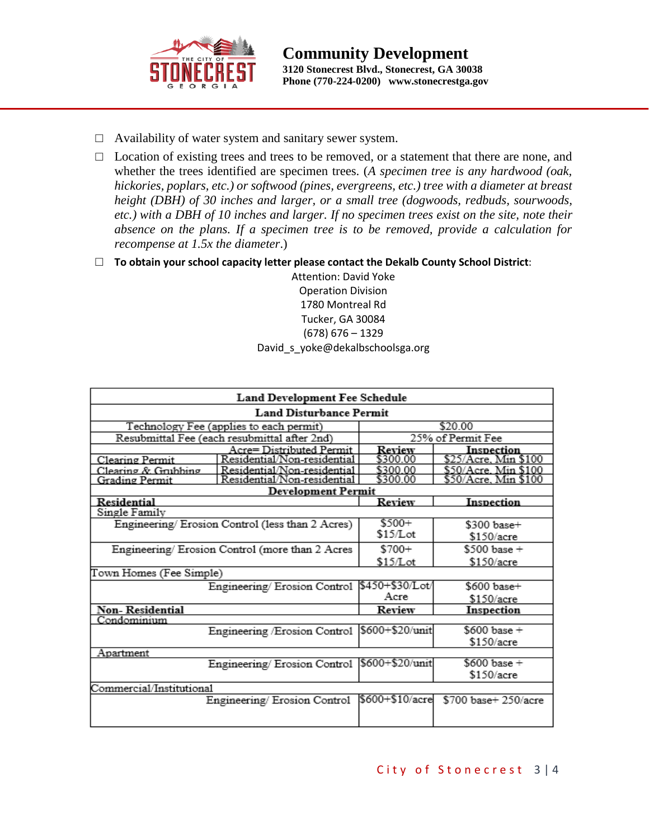

- □ Availability of water system and sanitary sewer system.
- □ Location of existing trees and trees to be removed, or a statement that there are none, and whether the trees identified are specimen trees. (*A specimen tree is any hardwood (oak, hickories, poplars, etc.) or softwood (pines, evergreens, etc.) tree with a diameter at breast height (DBH) of 30 inches and larger, or a small tree (dogwoods, redbuds, sourwoods, etc.) with a DBH of 10 inches and larger. If no specimen trees exist on the site, note their absence on the plans. If a specimen tree is to be removed, provide a calculation for recompense at 1.5x the diameter*.)
- □ **To obtain your school capacity letter please contact the Dekalb County School District**:

Attention: David Yoke Operation Division 1780 Montreal Rd Tucker, GA 30084 (678) 676 – 1329 David\_s\_yoke@dekalbschoolsga.org

| <b>Land Development Fee Schedule</b> |                                                 |                   |                             |  |  |  |  |  |  |
|--------------------------------------|-------------------------------------------------|-------------------|-----------------------------|--|--|--|--|--|--|
| <b>Land Disturbance Permit</b>       |                                                 |                   |                             |  |  |  |  |  |  |
|                                      | Technology Fee (applies to each permit)         | \$20.00           |                             |  |  |  |  |  |  |
|                                      | Resubmittal Fee (each resubmittal after 2nd)    | 25% of Permit Fee |                             |  |  |  |  |  |  |
|                                      | Acre= Distributed Permit                        | Review            | Inspection                  |  |  |  |  |  |  |
| Clearing Permit                      | Residential/Non-residential                     | \$300.00          | \$25/Acre. Min \$100        |  |  |  |  |  |  |
| Clearing & Grubbing                  | Residential/Non-residential                     | \$300.00          | <u>\$50/Acre, Min \$100</u> |  |  |  |  |  |  |
| Grading Permit                       | Residential/Non-residential                     | \$300.00          | \$50/Acre. Min \$100        |  |  |  |  |  |  |
|                                      | Development Permit                              |                   |                             |  |  |  |  |  |  |
| Residential                          |                                                 | Review            | Inspection                  |  |  |  |  |  |  |
| Single Family                        |                                                 |                   |                             |  |  |  |  |  |  |
|                                      | Engineering/Erosion Control (less than 2 Acres) | $$500+$           | \$300 base+                 |  |  |  |  |  |  |
|                                      |                                                 | \$15/Lot          | \$150/acre                  |  |  |  |  |  |  |
|                                      | Engineering/Erosion Control (more than 2 Acres  | $$700+$           | $$500 base +$               |  |  |  |  |  |  |
|                                      |                                                 | \$15/Lot          | \$150/acre                  |  |  |  |  |  |  |
| Town Homes (Fee Simple)              |                                                 |                   |                             |  |  |  |  |  |  |
| Engineering/Erosion Control          |                                                 | \$450+\$30/Lot/   | $$600\,base+$               |  |  |  |  |  |  |
|                                      |                                                 | Acre              | \$150/acre                  |  |  |  |  |  |  |
| Non-Residential                      |                                                 | Review            | <b>Inspection</b>           |  |  |  |  |  |  |
| Condominium                          |                                                 |                   |                             |  |  |  |  |  |  |
|                                      | Engineering / Erosion Control                   | \$600+\$20/unit   | $$600 base +$               |  |  |  |  |  |  |
|                                      |                                                 |                   | \$150/acre                  |  |  |  |  |  |  |
| Apartment                            |                                                 |                   |                             |  |  |  |  |  |  |
|                                      | Engineering/Erosion Control                     | \$600+\$20/unit   | $$600 base +$               |  |  |  |  |  |  |
|                                      |                                                 |                   | \$150/acre                  |  |  |  |  |  |  |
| Commercial/Institutional             |                                                 |                   |                             |  |  |  |  |  |  |
|                                      | Engineering/Erosion Control                     | l\$600+\$10/acrel | \$700 base+ 250/acre        |  |  |  |  |  |  |